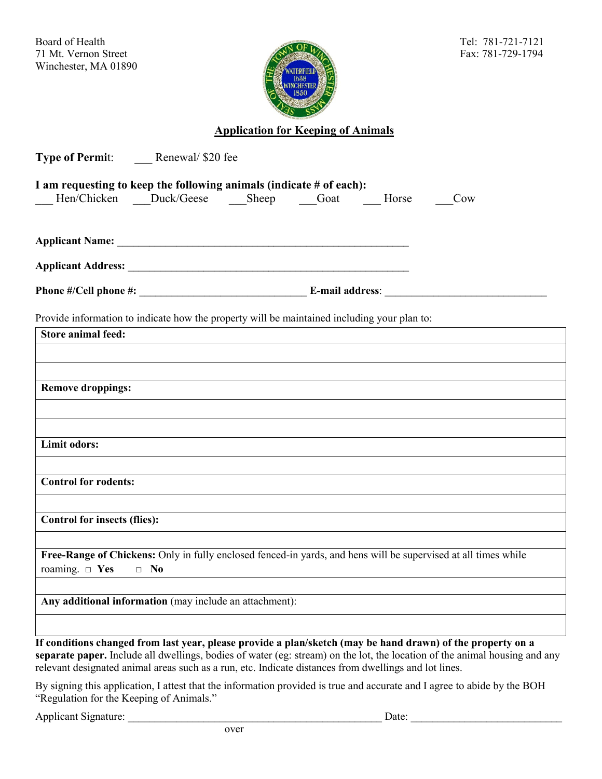Board of Health Tel: 781-721-7121 71 Mt. Vernon Street Fax: 781-729-1794 Winchester, MA 01890



## **Application for Keeping of Animals**

| Type of Permit: _______ Renewal/ \$20 fee                                                             |           |  |  |  |                                                                                                                            |
|-------------------------------------------------------------------------------------------------------|-----------|--|--|--|----------------------------------------------------------------------------------------------------------------------------|
| I am requesting to keep the following animals (indicate $#$ of each):                                 |           |  |  |  |                                                                                                                            |
| Hen/Chicken Duck/Geese Sheep Goat Horse                                                               |           |  |  |  | Cow                                                                                                                        |
|                                                                                                       |           |  |  |  |                                                                                                                            |
|                                                                                                       |           |  |  |  |                                                                                                                            |
|                                                                                                       |           |  |  |  |                                                                                                                            |
|                                                                                                       |           |  |  |  |                                                                                                                            |
| Provide information to indicate how the property will be maintained including your plan to:           |           |  |  |  |                                                                                                                            |
| <b>Store animal feed:</b>                                                                             |           |  |  |  |                                                                                                                            |
|                                                                                                       |           |  |  |  |                                                                                                                            |
|                                                                                                       |           |  |  |  |                                                                                                                            |
| <b>Remove droppings:</b>                                                                              |           |  |  |  |                                                                                                                            |
|                                                                                                       |           |  |  |  |                                                                                                                            |
| Limit odors:                                                                                          |           |  |  |  |                                                                                                                            |
|                                                                                                       |           |  |  |  |                                                                                                                            |
| Control for rodents:                                                                                  |           |  |  |  |                                                                                                                            |
|                                                                                                       |           |  |  |  |                                                                                                                            |
| <b>Control for insects (flies):</b>                                                                   |           |  |  |  |                                                                                                                            |
|                                                                                                       |           |  |  |  |                                                                                                                            |
|                                                                                                       |           |  |  |  | Free-Range of Chickens: Only in fully enclosed fenced-in yards, and hens will be supervised at all times while             |
| roaming. $\Box$ Yes                                                                                   | $\Box$ No |  |  |  |                                                                                                                            |
| Any additional information (may include an attachment):                                               |           |  |  |  |                                                                                                                            |
|                                                                                                       |           |  |  |  |                                                                                                                            |
|                                                                                                       |           |  |  |  | If conditions changed from last year, please provide a plan/sketch (may be hand drawn) of the property on a                |
| relevant designated animal areas such as a run, etc. Indicate distances from dwellings and lot lines. |           |  |  |  | separate paper. Include all dwellings, bodies of water (eg: stream) on the lot, the location of the animal housing and any |

By signing this application, I attest that the information provided is true and accurate and I agree to abide by the BOH "Regulation for the Keeping of Animals."

Applicant Signature: \_\_\_\_\_\_\_\_\_\_\_\_\_\_\_\_\_\_\_\_\_\_\_\_\_\_\_\_\_\_\_\_\_\_\_\_\_\_\_\_\_\_\_\_\_\_\_ Date: \_\_\_\_\_\_\_\_\_\_\_\_\_\_\_\_\_\_\_\_\_\_\_\_\_\_\_\_